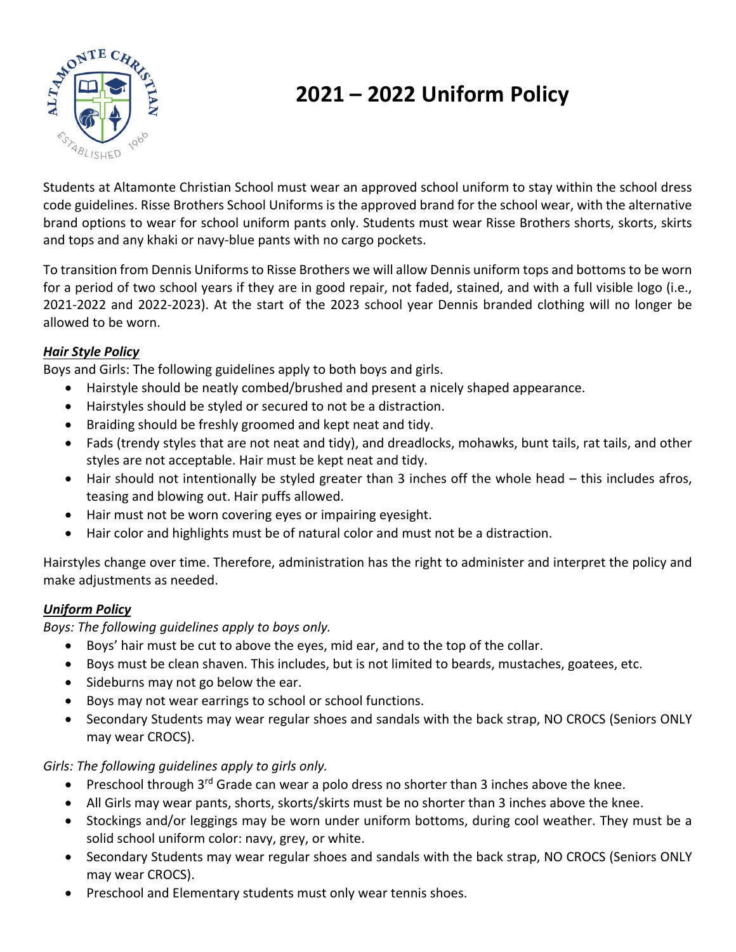

# **2021 – 2022 Uniform Policy**

Students at Altamonte Christian School must wear an approved school uniform to stay within the school dress code guidelines. Risse Brothers School Uniforms is the approved brand for the school wear, with the alternative brand options to wear for school uniform pants only. Students must wear Risse Brothers shorts, skorts, skirts and tops and any khaki or navy-blue pants with no cargo pockets.

To transition from Dennis Uniforms to Risse Brothers we will allow Dennis uniform tops and bottoms to be worn for a period of two school years if they are in good repair, not faded, stained, and with a full visible logo (i.e., 2021-2022 and 2022-2023). At the start of the 2023 school year Dennis branded clothing will no longer be allowed to be worn.

## *Hair Style Policy*

Boys and Girls: The following guidelines apply to both boys and girls.

- Hairstyle should be neatly combed/brushed and present a nicely shaped appearance.
- Hairstyles should be styled or secured to not be a distraction.
- Braiding should be freshly groomed and kept neat and tidy.
- Fads (trendy styles that are not neat and tidy), and dreadlocks, mohawks, bunt tails, rat tails, and other styles are not acceptable. Hair must be kept neat and tidy.
- Hair should not intentionally be styled greater than 3 inches off the whole head this includes afros, teasing and blowing out. Hair puffs allowed.
- Hair must not be worn covering eyes or impairing eyesight.
- Hair color and highlights must be of natural color and must not be a distraction.

Hairstyles change over time. Therefore, administration has the right to administer and interpret the policy and make adjustments as needed.

## *Uniform Policy*

*Boys: The following guidelines apply to boys only.*

- Boys' hair must be cut to above the eyes, mid ear, and to the top of the collar.
- Boys must be clean shaven. This includes, but is not limited to beards, mustaches, goatees, etc.
- Sideburns may not go below the ear.
- Boys may not wear earrings to school or school functions.
- Secondary Students may wear regular shoes and sandals with the back strap, NO CROCS (Seniors ONLY may wear CROCS).

*Girls: The following guidelines apply to girls only.*

- Preschool through  $3<sup>rd</sup>$  Grade can wear a polo dress no shorter than 3 inches above the knee.
- All Girls may wear pants, shorts, skorts/skirts must be no shorter than 3 inches above the knee.
- Stockings and/or leggings may be worn under uniform bottoms, during cool weather. They must be a solid school uniform color: navy, grey, or white.
- Secondary Students may wear regular shoes and sandals with the back strap, NO CROCS (Seniors ONLY may wear CROCS).
- Preschool and Elementary students must only wear tennis shoes.